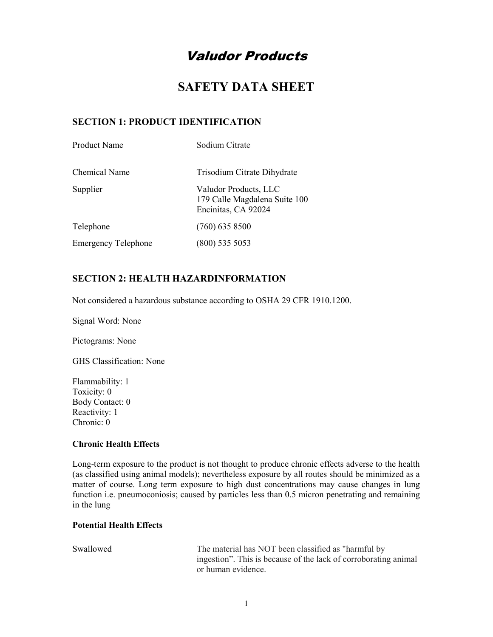# Valudor Products

# SAFETY DATA SHEET

### SECTION 1: PRODUCT IDENTIFICATION

| <b>Product Name</b>        | Sodium Citrate                                                                |
|----------------------------|-------------------------------------------------------------------------------|
| Chemical Name              | Trisodium Citrate Dihydrate                                                   |
| Supplier                   | Valudor Products, LLC<br>179 Calle Magdalena Suite 100<br>Encinitas, CA 92024 |
| Telephone                  | $(760)$ 635 8500                                                              |
| <b>Emergency Telephone</b> | $(800)$ 535 5053                                                              |

### SECTION 2: HEALTH HAZARDINFORMATION

Not considered a hazardous substance according to OSHA 29 CFR 1910.1200.

Signal Word: None

Pictograms: None

GHS Classification: None

Flammability: 1 Toxicity: 0 Body Contact: 0 Reactivity: 1 Chronic: 0

#### Chronic Health Effects

Long-term exposure to the product is not thought to produce chronic effects adverse to the health (as classified using animal models); nevertheless exposure by all routes should be minimized as a matter of course. Long term exposure to high dust concentrations may cause changes in lung function i.e. pneumoconiosis; caused by particles less than 0.5 micron penetrating and remaining in the lung

#### Potential Health Effects

| Swallowed | The material has NOT been classified as "harmful by             |
|-----------|-----------------------------------------------------------------|
|           | ingestion". This is because of the lack of corroborating animal |
|           | or human evidence.                                              |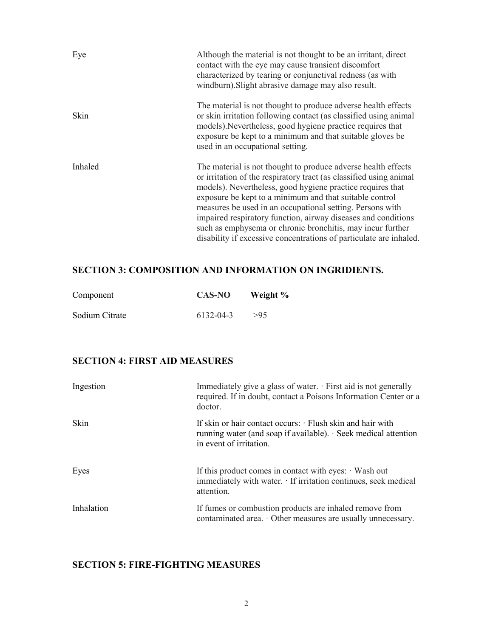| Eye     | Although the material is not thought to be an irritant, direct<br>contact with the eye may cause transient discomfort<br>characterized by tearing or conjunctival redness (as with<br>windburn). Slight abrasive damage may also result.                                                                                                                                                                                                                                                                                       |
|---------|--------------------------------------------------------------------------------------------------------------------------------------------------------------------------------------------------------------------------------------------------------------------------------------------------------------------------------------------------------------------------------------------------------------------------------------------------------------------------------------------------------------------------------|
| Skin    | The material is not thought to produce adverse health effects<br>or skin irritation following contact (as classified using animal<br>models). Nevertheless, good hygiene practice requires that<br>exposure be kept to a minimum and that suitable gloves be<br>used in an occupational setting.                                                                                                                                                                                                                               |
| Inhaled | The material is not thought to produce adverse health effects<br>or irritation of the respiratory tract (as classified using animal<br>models). Nevertheless, good hygiene practice requires that<br>exposure be kept to a minimum and that suitable control<br>measures be used in an occupational setting. Persons with<br>impaired respiratory function, airway diseases and conditions<br>such as emphysema or chronic bronchitis, may incur further<br>disability if excessive concentrations of particulate are inhaled. |

# SECTION 3: COMPOSITION AND INFORMATION ON INGRIDIENTS.

| Component      | <b>CAS-NO</b> | Weight % |
|----------------|---------------|----------|
| Sodium Citrate | 6132-04-3     | >95      |

# SECTION 4: FIRST AID MEASURES

| Ingestion  | Immediately give a glass of water. $\cdot$ First aid is not generally<br>required. If in doubt, contact a Poisons Information Center or a<br>doctor.                 |
|------------|----------------------------------------------------------------------------------------------------------------------------------------------------------------------|
| Skin       | If skin or hair contact occurs: $\cdot$ Flush skin and hair with<br>running water (and soap if available). $\cdot$ Seek medical attention<br>in event of irritation. |
| Eyes       | If this product comes in contact with eyes: $\cdot$ Wash out<br>immediately with water. · If irritation continues, seek medical<br>attention.                        |
| Inhalation | If fumes or combustion products are inhaled remove from<br>contaminated area. $\cdot$ Other measures are usually unnecessary.                                        |

## SECTION 5: FIRE-FIGHTING MEASURES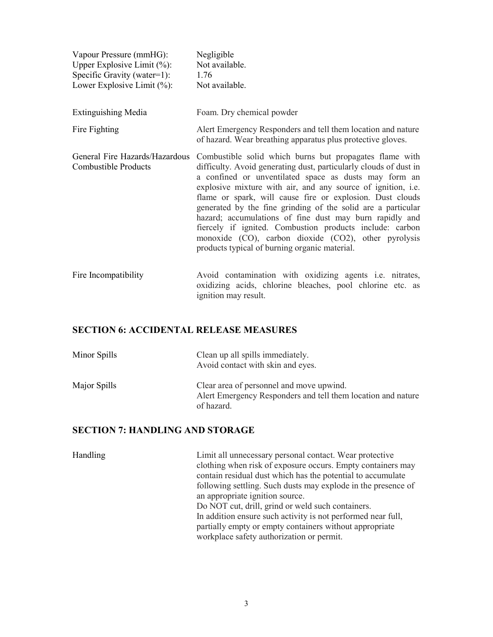| Vapour Pressure (mmHG):<br>Upper Explosive Limit $(\%):$<br>Specific Gravity (water=1):<br>Lower Explosive Limit $(\% )$ : | Negligible<br>Not available.<br>1.76<br>Not available.                                                                                                                                                                                                                                                                                                                                                                                                                                                                                                                                                             |
|----------------------------------------------------------------------------------------------------------------------------|--------------------------------------------------------------------------------------------------------------------------------------------------------------------------------------------------------------------------------------------------------------------------------------------------------------------------------------------------------------------------------------------------------------------------------------------------------------------------------------------------------------------------------------------------------------------------------------------------------------------|
| <b>Extinguishing Media</b>                                                                                                 | Foam. Dry chemical powder                                                                                                                                                                                                                                                                                                                                                                                                                                                                                                                                                                                          |
| Fire Fighting                                                                                                              | Alert Emergency Responders and tell them location and nature<br>of hazard. Wear breathing apparatus plus protective gloves.                                                                                                                                                                                                                                                                                                                                                                                                                                                                                        |
| General Fire Hazards/Hazardous<br>Combustible Products                                                                     | Combustible solid which burns but propagates flame with<br>difficulty. Avoid generating dust, particularly clouds of dust in<br>a confined or unventilated space as dusts may form an<br>explosive mixture with air, and any source of ignition, i.e.<br>flame or spark, will cause fire or explosion. Dust clouds<br>generated by the fine grinding of the solid are a particular<br>hazard; accumulations of fine dust may burn rapidly and<br>fiercely if ignited. Combustion products include: carbon<br>monoxide (CO), carbon dioxide (CO2), other pyrolysis<br>products typical of burning organic material. |
| Fire Incompatibility                                                                                                       | Avoid contamination with oxidizing agents i.e. nitrates,<br>oxidizing acids, chlorine bleaches, pool chlorine etc. as                                                                                                                                                                                                                                                                                                                                                                                                                                                                                              |

### SECTION 6: ACCIDENTAL RELEASE MEASURES

| Minor Spills | Clean up all spills immediately.<br>Avoid contact with skin and eyes.                                                  |
|--------------|------------------------------------------------------------------------------------------------------------------------|
| Major Spills | Clear area of personnel and move upwind.<br>Alert Emergency Responders and tell them location and nature<br>of hazard. |

ignition may result.

# SECTION 7: HANDLING AND STORAGE

| Handling | Limit all unnecessary personal contact. Wear protective                                                                 |
|----------|-------------------------------------------------------------------------------------------------------------------------|
|          | clothing when risk of exposure occurs. Empty containers may                                                             |
|          | contain residual dust which has the potential to accumulate                                                             |
|          | following settling. Such dusts may explode in the presence of                                                           |
|          | an appropriate ignition source.                                                                                         |
|          | Do NOT cut, drill, grind or weld such containers.                                                                       |
|          | In addition ensure such activity is not performed near full,<br>partially empty or empty containers without appropriate |
|          | workplace safety authorization or permit.                                                                               |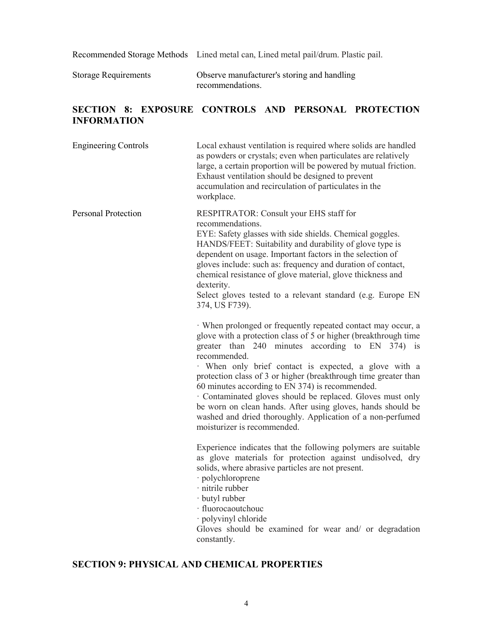Recommended Storage Methods Lined metal can, Lined metal pail/drum. Plastic pail.

Storage Requirements Observe manufacturer's storing and handling recommendations.

### SECTION 8: EXPOSURE CONTROLS AND PERSONAL PROTECTION INFORMATION

| <b>Engineering Controls</b> | Local exhaust ventilation is required where solids are handled<br>as powders or crystals; even when particulates are relatively<br>large, a certain proportion will be powered by mutual friction.<br>Exhaust ventilation should be designed to prevent<br>accumulation and recirculation of particulates in the<br>workplace.                                                                                                                                                                                                                                                                             |
|-----------------------------|------------------------------------------------------------------------------------------------------------------------------------------------------------------------------------------------------------------------------------------------------------------------------------------------------------------------------------------------------------------------------------------------------------------------------------------------------------------------------------------------------------------------------------------------------------------------------------------------------------|
| <b>Personal Protection</b>  | RESPITRATOR: Consult your EHS staff for<br>recommendations.<br>EYE: Safety glasses with side shields. Chemical goggles.<br>HANDS/FEET: Suitability and durability of glove type is<br>dependent on usage. Important factors in the selection of<br>gloves include: such as: frequency and duration of contact,<br>chemical resistance of glove material, glove thickness and<br>dexterity.<br>Select gloves tested to a relevant standard (e.g. Europe EN<br>374, US F739).                                                                                                                                |
|                             | · When prolonged or frequently repeated contact may occur, a<br>glove with a protection class of 5 or higher (breakthrough time<br>greater than 240 minutes according to EN 374) is<br>recommended.<br>When only brief contact is expected, a glove with a<br>protection class of 3 or higher (breakthrough time greater than<br>60 minutes according to EN 374) is recommended.<br>· Contaminated gloves should be replaced. Gloves must only<br>be worn on clean hands. After using gloves, hands should be<br>washed and dried thoroughly. Application of a non-perfumed<br>moisturizer is recommended. |
|                             | Experience indicates that the following polymers are suitable<br>as glove materials for protection against undisolved, dry<br>solids, where abrasive particles are not present.<br>· polychloroprene<br>· nitrile rubber<br>· butyl rubber<br>· fluorocaoutchouc<br>· polyvinyl chloride<br>Gloves should be examined for wear and/ or degradation<br>constantly.                                                                                                                                                                                                                                          |

## SECTION 9: PHYSICAL AND CHEMICAL PROPERTIES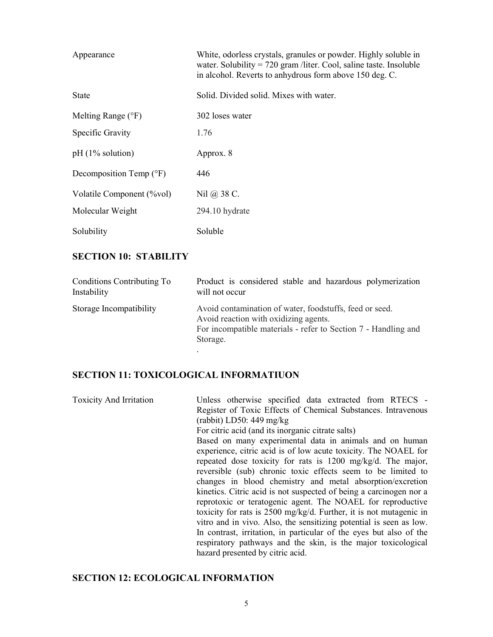| Appearance                         | White, odorless crystals, granules or powder. Highly soluble in<br>water. Solubility = $720$ gram /liter. Cool, saline taste. Insoluble<br>in alcohol. Reverts to anhydrous form above 150 deg. C. |
|------------------------------------|----------------------------------------------------------------------------------------------------------------------------------------------------------------------------------------------------|
| <b>State</b>                       | Solid. Divided solid. Mixes with water.                                                                                                                                                            |
| Melting Range $(°F)$               | 302 loses water                                                                                                                                                                                    |
| Specific Gravity                   | 1.76                                                                                                                                                                                               |
| $pH(1\%$ solution)                 | Approx. 8                                                                                                                                                                                          |
| Decomposition Temp $({}^{\circ}F)$ | 446                                                                                                                                                                                                |
| Volatile Component (%vol)          | Nil @ 38 C.                                                                                                                                                                                        |
| Molecular Weight                   | 294.10 hydrate                                                                                                                                                                                     |
| Solubility                         | Soluble                                                                                                                                                                                            |

#### SECTION 10: STABILITY

| Conditions Contributing To | Product is considered stable and hazardous polymerization                                                                                                                      |
|----------------------------|--------------------------------------------------------------------------------------------------------------------------------------------------------------------------------|
| Instability                | will not occur                                                                                                                                                                 |
| Storage Incompatibility    | Avoid contamination of water, foodstuffs, feed or seed.<br>Avoid reaction with oxidizing agents.<br>For incompatible materials - refer to Section 7 - Handling and<br>Storage. |

### SECTION 11: TOXICOLOGICAL INFORMATIUON

Toxicity And Irritation Unless otherwise specified data extracted from RTECS - Register of Toxic Effects of Chemical Substances. Intravenous (rabbit) LD50: 449 mg/kg For citric acid (and its inorganic citrate salts) Based on many experimental data in animals and on human experience, citric acid is of low acute toxicity. The NOAEL for repeated dose toxicity for rats is 1200 mg/kg/d. The major, reversible (sub) chronic toxic effects seem to be limited to changes in blood chemistry and metal absorption/excretion kinetics. Citric acid is not suspected of being a carcinogen nor a reprotoxic or teratogenic agent. The NOAEL for reproductive toxicity for rats is 2500 mg/kg/d. Further, it is not mutagenic in vitro and in vivo. Also, the sensitizing potential is seen as low. In contrast, irritation, in particular of the eyes but also of the respiratory pathways and the skin, is the major toxicological hazard presented by citric acid.

### SECTION 12: ECOLOGICAL INFORMATION